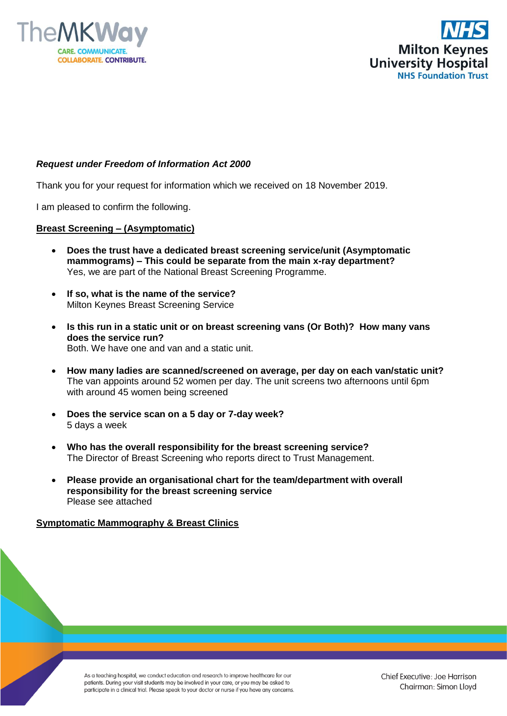



## *Request under Freedom of Information Act 2000*

Thank you for your request for information which we received on 18 November 2019.

I am pleased to confirm the following.

## **Breast Screening – (Asymptomatic)**

- **Does the trust have a dedicated breast screening service/unit (Asymptomatic mammograms) – This could be separate from the main x-ray department?** Yes, we are part of the National Breast Screening Programme.
- **If so, what is the name of the service?** Milton Keynes Breast Screening Service
- **Is this run in a static unit or on breast screening vans (Or Both)? How many vans does the service run?** Both. We have one and van and a static unit.
- **How many ladies are scanned/screened on average, per day on each van/static unit?** The van appoints around 52 women per day. The unit screens two afternoons until 6pm with around 45 women being screened
- **Does the service scan on a 5 day or 7-day week?** 5 days a week
- **Who has the overall responsibility for the breast screening service?** The Director of Breast Screening who reports direct to Trust Management.
- **Please provide an organisational chart for the team/department with overall responsibility for the breast screening service** Please see attached

## **Symptomatic Mammography & Breast Clinics**

As a teaching hospital, we conduct education and research to improve healthcare for our patients. During your visit students may be involved in your care, or you may be asked to participate in a clinical trial. Please speak to your doctor or nurse if you have any concerns.